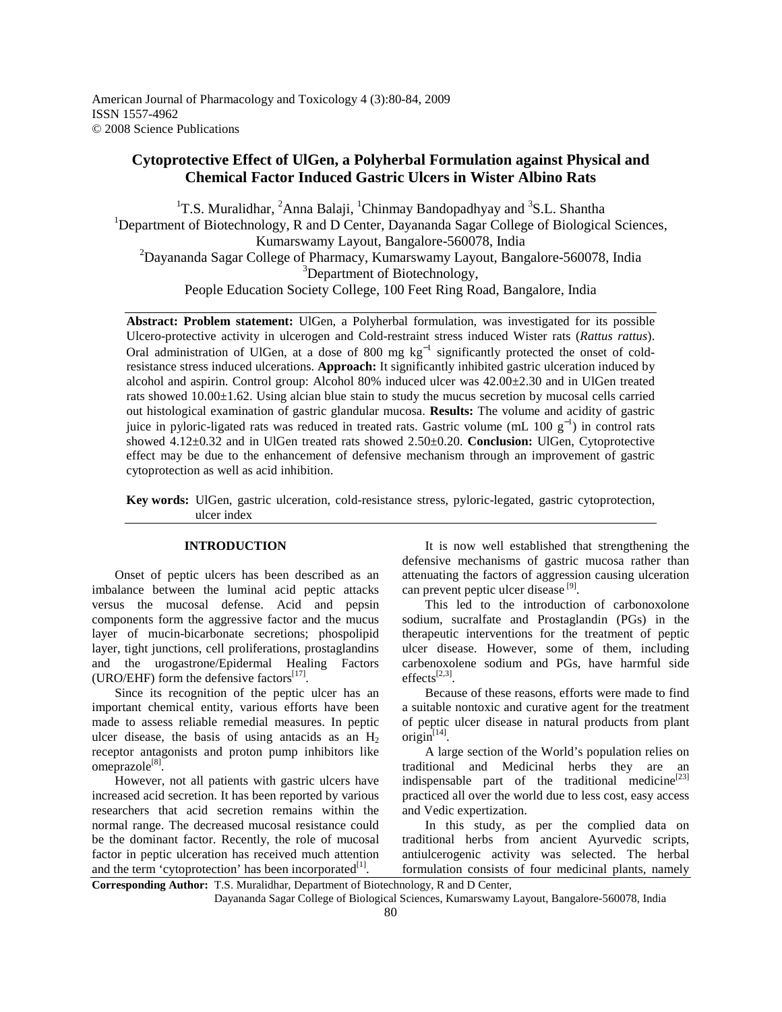# **Cytoprotective Effect of UlGen, a Polyherbal Formulation against Physical and Chemical Factor Induced Gastric Ulcers in Wister Albino Rats**

<sup>1</sup>T.S. Muralidhar, <sup>2</sup>Anna Balaji, <sup>1</sup>Chinmay Bandopadhyay and <sup>3</sup>S.L. Shantha <sup>1</sup>Department of Biotechnology, R and D Center, Dayananda Sagar College of Biological Sciences, Kumarswamy Layout, Bangalore-560078, India <sup>2</sup>Dayananda Sagar College of Pharmacy, Kumarswamy Layout, Bangalore-560078, India <sup>3</sup>Department of Biotechnology, People Education Society College, 100 Feet Ring Road, Bangalore, India

**Abstract: Problem statement:** UlGen, a Polyherbal formulation, was investigated for its possible Ulcero-protective activity in ulcerogen and Cold-restraint stress induced Wister rats (*Rattus rattus*). Oral administration of UlGen, at a dose of 800 mg  $kg^{-1}$  significantly protected the onset of coldresistance stress induced ulcerations. **Approach:** It significantly inhibited gastric ulceration induced by alcohol and aspirin. Control group: Alcohol 80% induced ulcer was 42.00±2.30 and in UlGen treated rats showed 10.00±1.62. Using alcian blue stain to study the mucus secretion by mucosal cells carried out histological examination of gastric glandular mucosa. **Results:** The volume and acidity of gastric juice in pyloric-ligated rats was reduced in treated rats. Gastric volume (mL 100  $g^{-1}$ ) in control rats showed 4.12±0.32 and in UlGen treated rats showed 2.50±0.20. **Conclusion:** UlGen, Cytoprotective effect may be due to the enhancement of defensive mechanism through an improvement of gastric cytoprotection as well as acid inhibition.

**Key words:** UlGen, gastric ulceration, cold-resistance stress, pyloric-legated, gastric cytoprotection, ulcer index

# **INTRODUCTION**

 Onset of peptic ulcers has been described as an imbalance between the luminal acid peptic attacks versus the mucosal defense. Acid and pepsin components form the aggressive factor and the mucus layer of mucin-bicarbonate secretions; phospolipid layer, tight junctions, cell proliferations, prostaglandins and the urogastrone/Epidermal Healing Factors (URO/EHF) form the defensive factors $^{[17]}$ .

 Since its recognition of the peptic ulcer has an important chemical entity, various efforts have been made to assess reliable remedial measures. In peptic ulcer disease, the basis of using antacids as an  $H_2$ receptor antagonists and proton pump inhibitors like omeprazole<sup>[8]</sup>.

 However, not all patients with gastric ulcers have increased acid secretion. It has been reported by various researchers that acid secretion remains within the normal range. The decreased mucosal resistance could be the dominant factor. Recently, the role of mucosal factor in peptic ulceration has received much attention and the term 'cytoprotection' has been incorporated $[1]$ .

 It is now well established that strengthening the defensive mechanisms of gastric mucosa rather than attenuating the factors of aggression causing ulceration can prevent peptic ulcer disease<sup>[9]</sup>.

 This led to the introduction of carbonoxolone sodium, sucralfate and Prostaglandin (PGs) in the therapeutic interventions for the treatment of peptic ulcer disease. However, some of them, including carbenoxolene sodium and PGs, have harmful side  $effects^{[2,3]}.$ 

 Because of these reasons, efforts were made to find a suitable nontoxic and curative agent for the treatment of peptic ulcer disease in natural products from plant origin $^{[14]}$ .

 A large section of the World's population relies on traditional and Medicinal herbs they are an indispensable part of the traditional medicine $[23]$ practiced all over the world due to less cost, easy access and Vedic expertization.

 In this study, as per the complied data on traditional herbs from ancient Ayurvedic scripts, antiulcerogenic activity was selected. The herbal formulation consists of four medicinal plants, namely

**Corresponding Author:** T.S. Muralidhar, Department of Biotechnology, R and D Center,

Dayananda Sagar College of Biological Sciences, Kumarswamy Layout, Bangalore-560078, India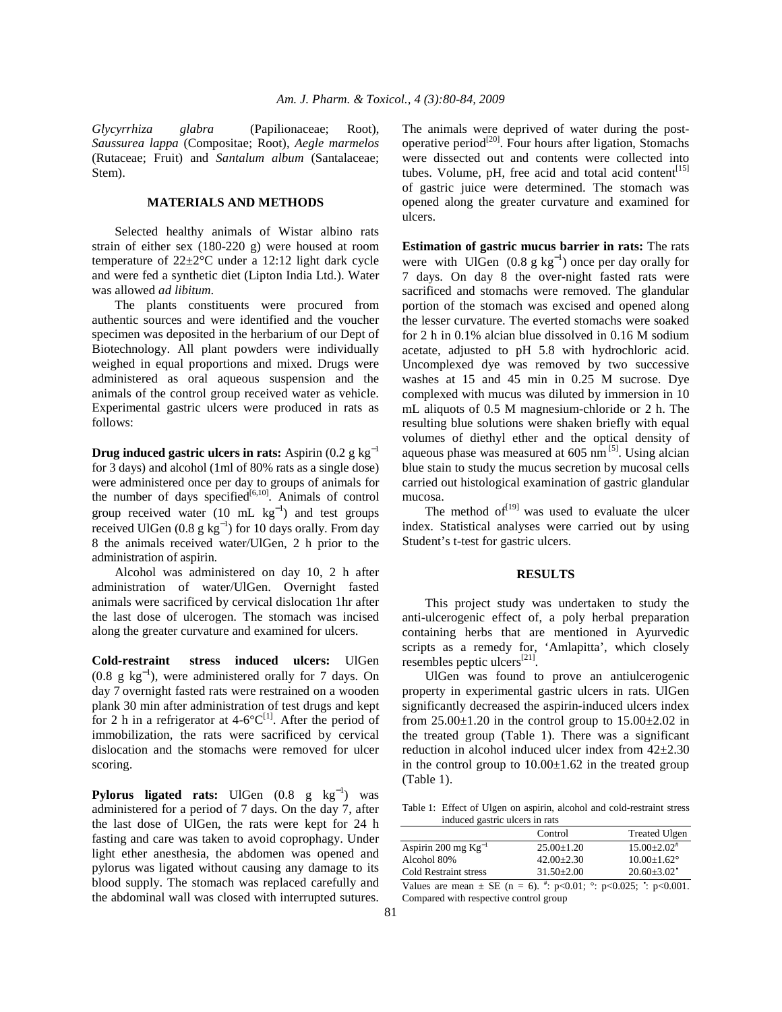*Glycyrrhiza glabra* (Papilionaceae; Root), *Saussurea lappa* (Compositae; Root), *Aegle marmelos* (Rutaceae; Fruit) and *Santalum album* (Santalaceae; Stem).

# **MATERIALS AND METHODS**

 Selected healthy animals of Wistar albino rats strain of either sex (180-220 g) were housed at room temperature of 22±2°C under a 12:12 light dark cycle and were fed a synthetic diet (Lipton India Ltd.). Water was allowed *ad libitum*.

 The plants constituents were procured from authentic sources and were identified and the voucher specimen was deposited in the herbarium of our Dept of Biotechnology. All plant powders were individually weighed in equal proportions and mixed. Drugs were administered as oral aqueous suspension and the animals of the control group received water as vehicle. Experimental gastric ulcers were produced in rats as follows:

**Drug induced gastric ulcers in rats:** Aspirin (0.2 g kg<sup>−</sup><sup>1</sup> for 3 days) and alcohol (1ml of 80% rats as a single dose) were administered once per day to groups of animals for the number of days specified $[6,10]$ . Animals of control group received water (10 mL  $\text{kg}^{-1}$ ) and test groups received UlGen (0.8  $g kg^{-1}$ ) for 10 days orally. From day 8 the animals received water/UlGen, 2 h prior to the administration of aspirin.

 Alcohol was administered on day 10, 2 h after administration of water/UlGen. Overnight fasted animals were sacrificed by cervical dislocation 1hr after the last dose of ulcerogen. The stomach was incised along the greater curvature and examined for ulcers.

**Cold-restraint stress induced ulcers:** UlGen  $(0.8 \text{ g kg}^{-1})$ , were administered orally for 7 days. On day 7 overnight fasted rats were restrained on a wooden plank 30 min after administration of test drugs and kept for 2 h in a refrigerator at  $4-6^{\circ}C^{[1]}$ . After the period of immobilization, the rats were sacrificed by cervical dislocation and the stomachs were removed for ulcer scoring.

**Pylorus ligated rats:** UlGen (0.8 g kg<sup>-1</sup>) was administered for a period of 7 days. On the day 7, after the last dose of UlGen, the rats were kept for 24 h fasting and care was taken to avoid coprophagy. Under light ether anesthesia, the abdomen was opened and pylorus was ligated without causing any damage to its blood supply. The stomach was replaced carefully and the abdominal wall was closed with interrupted sutures.

The animals were deprived of water during the postoperative period<sup>[20]</sup>. Four hours after ligation, Stomachs were dissected out and contents were collected into tubes. Volume, pH, free acid and total acid content $[15]$ of gastric juice were determined. The stomach was opened along the greater curvature and examined for ulcers.

**Estimation of gastric mucus barrier in rats:** The rats were with UlGen  $(0.8 \text{ g kg}^{-1})$  once per day orally for 7 days. On day 8 the over-night fasted rats were sacrificed and stomachs were removed. The glandular portion of the stomach was excised and opened along the lesser curvature. The everted stomachs were soaked for 2 h in 0.1% alcian blue dissolved in 0.16 M sodium acetate, adjusted to pH 5.8 with hydrochloric acid. Uncomplexed dye was removed by two successive washes at 15 and 45 min in 0.25 M sucrose. Dye complexed with mucus was diluted by immersion in 10 mL aliquots of 0.5 M magnesium-chloride or 2 h. The resulting blue solutions were shaken briefly with equal volumes of diethyl ether and the optical density of aqueous phase was measured at  $605 \text{ nm}^{5}$ . Using alcian blue stain to study the mucus secretion by mucosal cells carried out histological examination of gastric glandular mucosa.

The method of $[19]$  was used to evaluate the ulcer index. Statistical analyses were carried out by using Student's t-test for gastric ulcers.

#### **RESULTS**

 This project study was undertaken to study the anti-ulcerogenic effect of, a poly herbal preparation containing herbs that are mentioned in Ayurvedic scripts as a remedy for, 'Amlapitta', which closely resembles peptic ulcers $^{[21]}$ .

 UlGen was found to prove an antiulcerogenic property in experimental gastric ulcers in rats. UlGen significantly decreased the aspirin-induced ulcers index from  $25.00\pm1.20$  in the control group to  $15.00\pm2.02$  in the treated group (Table 1). There was a significant reduction in alcohol induced ulcer index from 42±2.30 in the control group to  $10.00 \pm 1.62$  in the treated group (Table 1).

Table 1: Effect of Ulgen on aspirin, alcohol and cold-restraint stress induced gastric ulcers in rats

|                          | Control        | <b>Treated Ulgen</b>        |
|--------------------------|----------------|-----------------------------|
| Aspirin 200 mg $Kg^{-1}$ | $25.00+1.20$   | $15.00 + 2.02$ <sup>#</sup> |
| Alcohol 80%              | $42.00+2.30$   | $10.00+1.62^{\circ}$        |
| Cold Restraint stress    | $31.50 + 2.00$ | $20.60 + 3.02$              |

Values are mean  $\pm$  SE (n = 6).  $\stackrel{\#}{\cdot}$  p<0.01;  $\degree$ : p<0.025;  $\stackrel{\bullet}{\cdot}$ : p<0.001. Compared with respective control group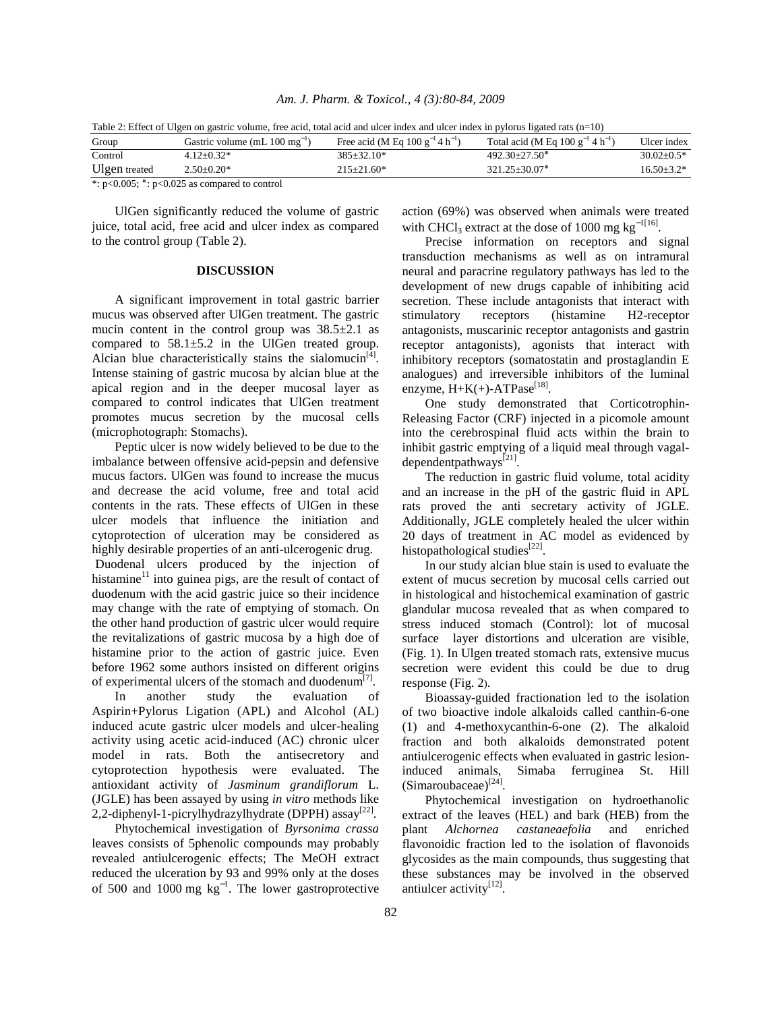| Am. J. Pharm. & Toxicol., 4 (3):80-84, 2009 |  |  |  |
|---------------------------------------------|--|--|--|
|---------------------------------------------|--|--|--|

| Table 2: Effect of Ulgen on gastric volume, free acid, total acid and ulcer index and ulcer index in pylorus ligated rats (n=10) |                                            |                                                  |                                                   |                |  |  |  |
|----------------------------------------------------------------------------------------------------------------------------------|--------------------------------------------|--------------------------------------------------|---------------------------------------------------|----------------|--|--|--|
| Group                                                                                                                            | Gastric volume (mL $100 \text{ mg}^{-1}$ ) | Free acid (M Eq 100 $g^{-1}$ 4 h <sup>-1</sup> ) | Total acid (M Eq 100 $g^{-1}$ 4 h <sup>-1</sup> ) | Ulcer index    |  |  |  |
| Control                                                                                                                          | $4.12 + 0.32*$                             | $385+32.10*$                                     | $492.30+27.50*$                                   | $30.02 + 0.5*$ |  |  |  |
| Ulgen treated                                                                                                                    | $2.50 \pm 0.20^*$                          | $215+21.60*$                                     | $321.25 + 30.07*$                                 | $16.50 + 3.2*$ |  |  |  |

Table 2: Effect of Ulgen on gastric volume, free acid, total acid and ulcer index and ulcer index in pylorus ligated rats (n=10)

\*: p<0.005; **٭**: p<0.025 as compared to control

 UlGen significantly reduced the volume of gastric juice, total acid, free acid and ulcer index as compared to the control group (Table 2).

#### **DISCUSSION**

 A significant improvement in total gastric barrier mucus was observed after UlGen treatment. The gastric mucin content in the control group was  $38.5 \pm 2.1$  as compared to 58.1±5.2 in the UlGen treated group. Alcian blue characteristically stains the sialomucin<sup>[4]</sup>. Intense staining of gastric mucosa by alcian blue at the apical region and in the deeper mucosal layer as compared to control indicates that UlGen treatment promotes mucus secretion by the mucosal cells (microphotograph: Stomachs).

 Peptic ulcer is now widely believed to be due to the imbalance between offensive acid-pepsin and defensive mucus factors. UlGen was found to increase the mucus and decrease the acid volume, free and total acid contents in the rats. These effects of UlGen in these ulcer models that influence the initiation and cytoprotection of ulceration may be considered as highly desirable properties of an anti-ulcerogenic drug. Duodenal ulcers produced by the injection of histamine $11$  into guinea pigs, are the result of contact of duodenum with the acid gastric juice so their incidence may change with the rate of emptying of stomach. On the other hand production of gastric ulcer would require the revitalizations of gastric mucosa by a high doe of histamine prior to the action of gastric juice. Even

before 1962 some authors insisted on different origins of experimental ulcers of the stomach and duodenum<sup>[7]</sup>. In another study the evaluation of

Aspirin+Pylorus Ligation (APL) and Alcohol (AL) induced acute gastric ulcer models and ulcer-healing activity using acetic acid-induced (AC) chronic ulcer model in rats. Both the antisecretory and cytoprotection hypothesis were evaluated. The antioxidant activity of *Jasminum grandiflorum* L. (JGLE) has been assayed by using *in vitro* methods like 2,2-diphenyl-1-picrylhydrazylhydrate (DPPH) assay<sup>[22]</sup>.

 Phytochemical investigation of *Byrsonima crassa* leaves consists of 5phenolic compounds may probably revealed antiulcerogenic effects; The MeOH extract reduced the ulceration by 93 and 99% only at the doses of 500 and 1000 mg  $kg^{-1}$ . The lower gastroprotective action (69%) was observed when animals were treated with CHCl<sub>3</sub> extract at the dose of 1000 mg kg<sup>-1[16]</sup>.

 Precise information on receptors and signal transduction mechanisms as well as on intramural neural and paracrine regulatory pathways has led to the development of new drugs capable of inhibiting acid secretion. These include antagonists that interact with stimulatory receptors (histamine H2-receptor antagonists, muscarinic receptor antagonists and gastrin receptor antagonists), agonists that interact with inhibitory receptors (somatostatin and prostaglandin E analogues) and irreversible inhibitors of the luminal enzyme,  $H+K(+)$ -ATPase<sup>[18]</sup>.

One study demonstrated that Corticotrophin-Releasing Factor (CRF) injected in a picomole amount into the cerebrospinal fluid acts within the brain to inhibit gastric emptying of a liquid meal through vagaldependentpathways<sup>[21]</sup>.

 The reduction in gastric fluid volume, total acidity and an increase in the pH of the gastric fluid in APL rats proved the anti secretary activity of JGLE. Additionally, JGLE completely healed the ulcer within 20 days of treatment in AC model as evidenced by histopathological studies<sup>[22]</sup>.

 In our study alcian blue stain is used to evaluate the extent of mucus secretion by mucosal cells carried out in histological and histochemical examination of gastric glandular mucosa revealed that as when compared to stress induced stomach (Control): lot of mucosal surface layer distortions and ulceration are visible, (Fig. 1). In Ulgen treated stomach rats, extensive mucus secretion were evident this could be due to drug response (Fig. 2).

 Bioassay-guided fractionation led to the isolation of two bioactive indole alkaloids called canthin-6-one (1) and 4-methoxycanthin-6-one (2). The alkaloid fraction and both alkaloids demonstrated potent antiulcerogenic effects when evaluated in gastric lesioninduced animals, Simaba ferruginea St. Hill (Simaroubaceae)[24] .

 Phytochemical investigation on hydroethanolic extract of the leaves (HEL) and bark (HEB) from the plant *Alchornea castaneaefolia* and enriched flavonoidic fraction led to the isolation of flavonoids glycosides as the main compounds, thus suggesting that these substances may be involved in the observed antiulcer activity<sup>[12]</sup>.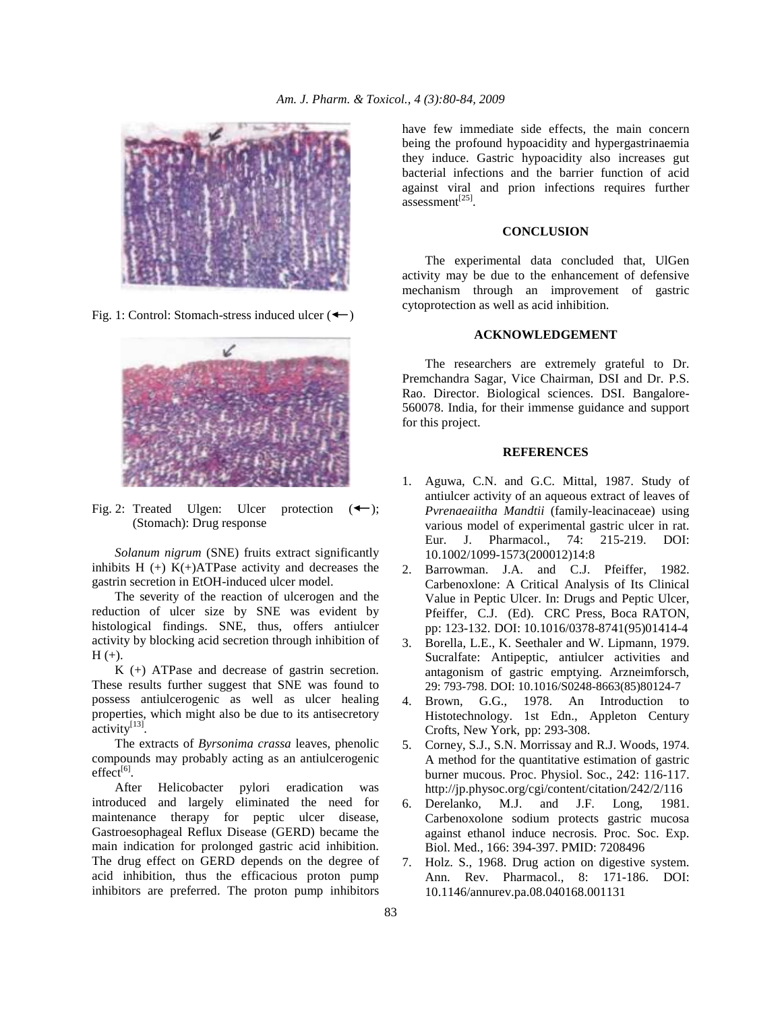

Fig. 1: Control: Stomach-stress induced ulcer  $($   $\leftarrow$   $)$ 



Fig. 2: Treated Ulgen: Ulcer protection  $(\leftarrow)$ ; (Stomach): Drug response

 *Solanum nigrum* (SNE) fruits extract significantly inhibits  $H + K$  (+)  $K$  +  $A$ TPase activity and decreases the gastrin secretion in EtOH-induced ulcer model.

 The severity of the reaction of ulcerogen and the reduction of ulcer size by SNE was evident by histological findings. SNE, thus, offers antiulcer activity by blocking acid secretion through inhibition of  $H (+)$ .

 K (+) ATPase and decrease of gastrin secretion. These results further suggest that SNE was found to possess antiulcerogenic as well as ulcer healing properties, which might also be due to its antisecretory  $\arctivity^{[13]}$ .

 The extracts of *Byrsonima crassa* leaves, phenolic compounds may probably acting as an antiulcerogenic  $effect^{[6]}$ .

 After Helicobacter pylori eradication was introduced and largely eliminated the need for maintenance therapy for peptic ulcer disease, Gastroesophageal Reflux Disease (GERD) became the main indication for prolonged gastric acid inhibition. The drug effect on GERD depends on the degree of acid inhibition, thus the efficacious proton pump inhibitors are preferred. The proton pump inhibitors

have few immediate side effects, the main concern being the profound hypoacidity and hypergastrinaemia they induce. Gastric hypoacidity also increases gut bacterial infections and the barrier function of acid against viral and prion infections requires further assessment<sup>[25]</sup>.

## **CONCLUSION**

 The experimental data concluded that, UlGen activity may be due to the enhancement of defensive mechanism through an improvement of gastric cytoprotection as well as acid inhibition.

## **ACKNOWLEDGEMENT**

 The researchers are extremely grateful to Dr. Premchandra Sagar, Vice Chairman, DSI and Dr. P.S. Rao. Director. Biological sciences. DSI. Bangalore-560078. India, for their immense guidance and support for this project.

#### **REFERENCES**

- 1. Aguwa, C.N. and G.C. Mittal, 1987. Study of antiulcer activity of an aqueous extract of leaves of *Pvrenaeaiitha Mandtii* (family-leacinaceae) using various model of experimental gastric ulcer in rat. Eur. J. Pharmacol., 74: 215-219. DOI: 10.1002/1099-1573(200012)14:8
- 2. Barrowman. J.A. and C.J. Pfeiffer, 1982. Carbenoxlone: A Critical Analysis of Its Clinical Value in Peptic Ulcer. In: Drugs and Peptic Ulcer, Pfeiffer, C.J. (Ed). CRC Press, Boca RATON, pp: 123-132. DOI: 10.1016/0378-8741(95)01414-4
- 3. Borella, L.E., K. Seethaler and W. Lipmann, 1979. Sucralfate: Antipeptic, antiulcer activities and antagonism of gastric emptying. Arzneimforsch, 29: 793-798. DOI: 10.1016/S0248-8663(85)80124-7
- 4. Brown, G.G., 1978. An Introduction to Histotechnology. 1st Edn., Appleton Century Crofts, New York, pp: 293-308.
- 5. Corney, S.J., S.N. Morrissay and R.J. Woods, 1974. A method for the quantitative estimation of gastric burner mucous. Proc. Physiol. Soc., 242: 116-117. http://jp.physoc.org/cgi/content/citation/242/2/116
- 6. Derelanko, M.J. and J.F. Long, 1981. Carbenoxolone sodium protects gastric mucosa against ethanol induce necrosis. Proc. Soc. Exp. Biol. Med., 166: 394-397. PMID: 7208496
- 7. Holz. S., 1968. Drug action on digestive system. Ann. Rev. Pharmacol., 8: 171-186. DOI: 10.1146/annurev.pa.08.040168.001131